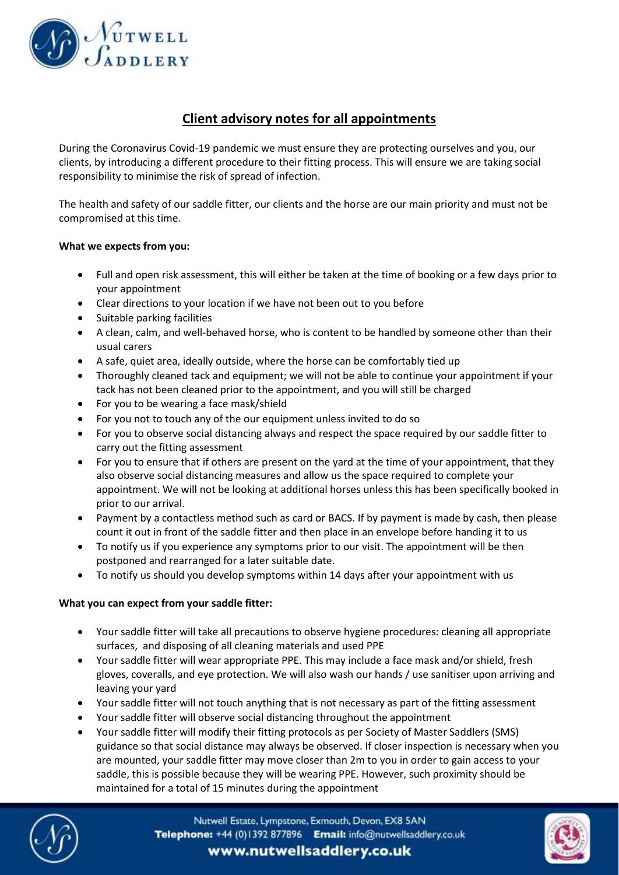

## **Client advisory notes for all appointments**

During the Coronavirus Covid-19 pandemic we must ensure they are protecting ourselves and you, our clients, by introducing a different procedure to their fitting process. This will ensure we are taking social responsibility to minimise the risk of spread of infection.

The health and safety of our saddle fitter, our clients and the horse are our main priority and must not be compromised at this time.

## **What we expects from you:**

- Full and open risk assessment, this will either be taken at the time of booking or a few days prior to your appointment
- Clear directions to your location if we have not been out to you before
- Suitable parking facilities
- A clean, calm, and well-behaved horse, who is content to be handled by someone other than their usual carers
- A safe, quiet area, ideally outside, where the horse can be comfortably tied up
- Thoroughly cleaned tack and equipment; we will not be able to continue your appointment if your tack has not been cleaned prior to the appointment, and you will still be charged
- For you to be wearing a face mask/shield
- For you not to touch any of the our equipment unless invited to do so
- For you to observe social distancing always and respect the space required by our saddle fitter to carry out the fitting assessment
- For you to ensure that if others are present on the yard at the time of your appointment, that they also observe social distancing measures and allow us the space required to complete your appointment. We will not be looking at additional horses unless this has been specifically booked in prior to our arrival.
- Payment by a contactless method such as card or BACS. If by payment is made by cash, then please count it out in front of the saddle fitter and then place in an envelope before handing it to us
- To notify us if you experience any symptoms prior to our visit. The appointment will be then postponed and rearranged for a later suitable date.
- To notify us should you develop symptoms within 14 days after your appointment with us

## **What you can expect from your saddle fitter:**

- Your saddle fitter will take all precautions to observe hygiene procedures: cleaning all appropriate surfaces, and disposing of all cleaning materials and used PPE
- Your saddle fitter will wear appropriate PPE. This may include a face mask and/or shield, fresh gloves, coveralls, and eye protection. We will also wash our hands / use sanitiser upon arriving and leaving your yard
- Your saddle fitter will not touch anything that is not necessary as part of the fitting assessment
- Your saddle fitter will observe social distancing throughout the appointment
- Your saddle fitter will modify their fitting protocols as per Society of Master Saddlers (SMS) guidance so that social distance may always be observed. If closer inspection is necessary when you are mounted, your saddle fitter may move closer than 2m to you in order to gain access to your saddle, this is possible because they will be wearing PPE. However, such proximity should be maintained for a total of 15 minutes during the appointment



Nutwell Estate, Lympstone, Exmouth, Devon, EX8 5AN Telephone: +44 (0)1392 877896 Email: info@nutwellsaddlery.co.uk www.nutwellsaddlery.co.uk